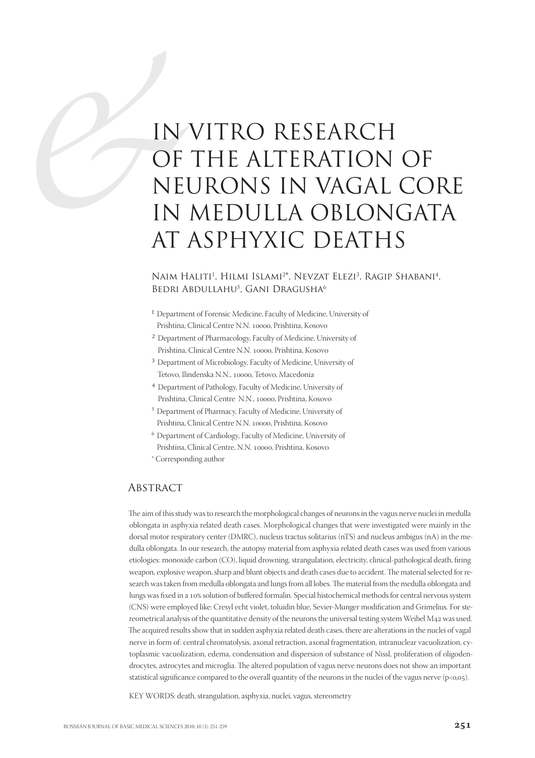# EREAL IN OF IN VITRO RESEARCH OF THE ALTERATION OF NEURONS IN VAGAL CORE IN MEDULLA OBLONGATA AT ASPHYXIC DEATHS

#### NAIM HALITI<sup>1</sup>, HILMI ISLAMI<sup>2\*</sup>, NEVZAT ELEZI<sup>3</sup>, RAGIP SHABANI<sup>4</sup>, BEDRI ABDULLAHU<sup>5</sup>, GANI DRAGUSHA<sup>6</sup>

- 1 Department of Forensic Medicine, Faculty of Medicine, University of Prishtina, Clinical Centre N.N. 10000, Prishtina, Kosovo
- 2 Department of Pharmacology, Faculty of Medicine, University of Prishtina, Clinical Centre N.N. 10000, Prishtina, Kosovo
- 3 Department of Microbiology, Faculty of Medicine, University of Tetovo, Ilindenska N.N., 10000, Tetovo, Macedonia
- 4 Department of Pathology, Faculty of Medicine, University of Prishtina, Clinical Centre N.N., 10000, Prishtina, Kosovo
- 5 Department of Pharmacy, Faculty of Medicine, University of Prishtina, Clinical Centre N.N. 10000, Prishtina, Kosovo
- 6 Department of Cardiology, Faculty of Medicine, University of Prishtina, Clinical Centre, N.N. 10000, Prishtina, Kosovo
- \* Corresponding author

## **ABSTRACT**

The aim of this study was to research the morphological changes of neurons in the vagus nerve nuclei in medulla oblongata in asphyxia related death cases. Morphological changes that were investigated were mainly in the dorsal motor respiratory center (DMRC), nucleus tractus solitarius (nTS) and nucleus ambigus (nA) in the medulla oblongata. In our research, the autopsy material from asphyxia related death cases was used from various etiologies: monoxide carbon (CO), liquid drowning, strangulation, electricity, clinical-pathological death, firing weapon, explosive weapon, sharp and blunt objects and death cases due to accident. The material selected for research was taken from medulla oblongata and lungs from all lobes. The material from the medulla oblongata and lungs was fixed in a 10% solution of buffered formalin. Special histochemical methods for central nervous system (CNS) were employed like: Cresyl echt violet, toluidin blue, Sevier-Munger modification and Grimelius. For stereometrical analysis of the quantitative density of the neurons the universal testing system Weibel  $M_{42}$  was used. The acquired results show that in sudden asphyxia related death cases, there are alterations in the nuclei of vagal nerve in form of: central chromatolysis, axonal retraction, axonal fragmentation, intranuclear vacuolization, cytoplasmic vacuolization, edema, condensation and dispersion of substance of Nissl, proliferation of oligodendrocytes, astrocytes and microglia. The altered population of vagus nerve neurons does not show an important statistical significance compared to the overall quantity of the neurons in the nuclei of the vagus nerve ( $p<0.005$ ).

KEY WORDS: death, strangulation, asphyxia, nuclei, vagus, stereometry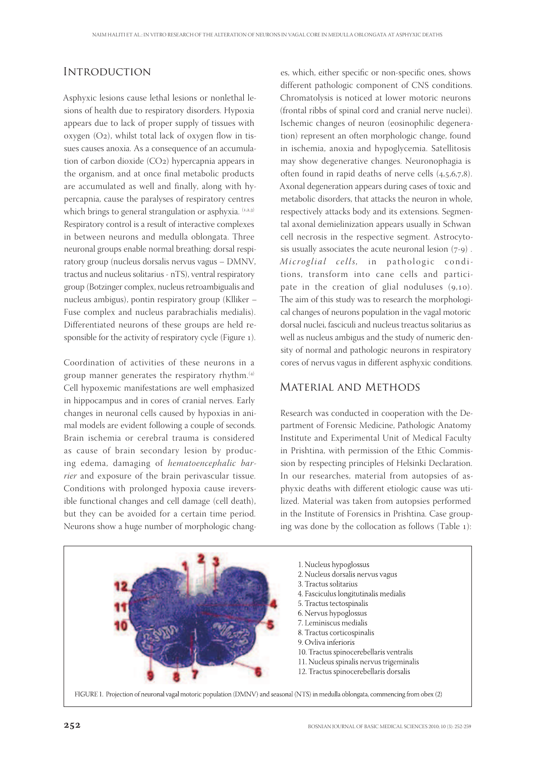## **INTRODUCTION**

Asphyxic lesions cause lethal lesions or nonlethal lesions of health due to respiratory disorders. Hypoxia appears due to lack of proper supply of tissues with oxygen  $(O_2)$ , whilst total lack of oxygen flow in tissues causes anoxia. As a consequence of an accumulation of carbon dioxide  $(CO_2)$  hypercapnia appears in the organism, and at once final metabolic products are accumulated as well and finally, along with hypercapnia, cause the paralyses of respiratory centres which brings to general strangulation or asphyxia. (1,2,3) Respiratory control is a result of interactive complexes in between neurons and medulla oblongata. Three neuronal groups enable normal breathing: dorsal respiratory group (nucleus dorsalis nervus vagus – DMNV, tractus and nucleus solitarius - nTS), ventral respiratory group (Botzinger complex, nucleus retroambigualis and nucleus ambigus), pontin respiratory group (Klliker – Fuse complex and nucleus parabrachialis medialis). Differentiated neurons of these groups are held responsible for the activity of respiratory cycle (Figure ).

Coordination of activities of these neurons in a group manner generates the respiratory rhythm. $(4)$ Cell hypoxemic manifestations are well emphasized in hippocampus and in cores of cranial nerves. Early changes in neuronal cells caused by hypoxias in animal models are evident following a couple of seconds. Brain ischemia or cerebral trauma is considered as cause of brain secondary lesion by producing edema, damaging of hematoencephalic barrier and exposure of the brain perivascular tissue. Conditions with prolonged hypoxia cause ireversible functional changes and cell damage (cell death), but they can be avoided for a certain time period. Neurons show a huge number of morphologic changes, which, either specific or non-specific ones, shows different pathologic component of CNS conditions. Chromatolysis is noticed at lower motoric neurons (frontal ribbs of spinal cord and cranial nerve nuclei). Ischemic changes of neuron (eosinophilic degeneration) represent an often morphologic change, found in ischemia, anoxia and hypoglycemia. Satellitosis may show degenerative changes. Neuronophagia is often found in rapid deaths of nerve cells  $(4,5,6,7,8)$ . Axonal degeneration appears during cases of toxic and metabolic disorders, that attacks the neuron in whole, respectively attacks body and its extensions. Segmental axonal demielinization appears usually in Schwan cell necrosis in the respective segment. Astrocytosis usually associates the acute neuronal lesion  $(7-9)$ . Microglial cells, in pathologic conditions, transform into cane cells and participate in the creation of glial noduluses  $(9,10)$ . The aim of this study was to research the morphological changes of neurons population in the vagal motoric dorsal nuclei, fasciculi and nucleus treactus solitarius as well as nucleus ambigus and the study of numeric density of normal and pathologic neurons in respiratory cores of nervus vagus in different asphyxic conditions.

### Material and Methods

Research was conducted in cooperation with the Department of Forensic Medicine, Pathologic Anatomy Institute and Experimental Unit of Medical Faculty in Prishtina, with permission of the Ethic Commission by respecting principles of Helsinki Declaration. In our researches, material from autopsies of asphyxic deaths with different etiologic cause was utilized. Material was taken from autopsies performed in the Institute of Forensics in Prishtina. Case grouping was done by the collocation as follows (Table ):

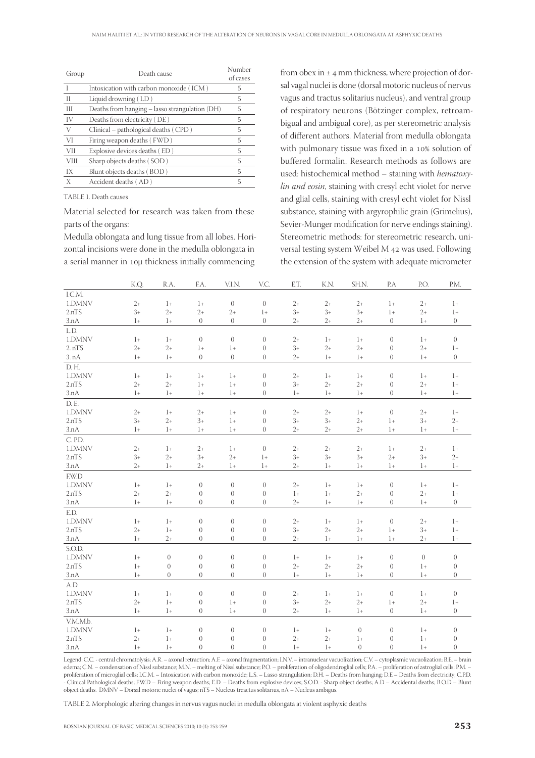| Group       | Death cause                                    | Number<br>of cases |  |  |
|-------------|------------------------------------------------|--------------------|--|--|
|             | Intoxication with carbon monoxide (ICM)        | 5                  |  |  |
| Н           | Liquid drowning (LD)                           | 5                  |  |  |
| Ш           | Deaths from hanging - lasso strangulation (DH) | 5                  |  |  |
| IV          | Deaths from electricity (DE)                   | 5                  |  |  |
| V           | Clinical – pathological deaths (CPD)           | 5                  |  |  |
| VI          | Firing weapon deaths (FWD)                     | 5                  |  |  |
| VII         | Explosive devices deaths (ED)                  | 5                  |  |  |
| <b>VIII</b> | Sharp objects deaths (SOD)                     | 5                  |  |  |
| IX          | Blunt objects deaths (BOD)                     | 5                  |  |  |
| X           | Accident deaths (AD)                           | 5                  |  |  |
|             |                                                |                    |  |  |

TABLE 1. Death causes

Material selected for research was taken from these parts of the organs:

Medulla oblongata and lung tissue from all lobes. Horizontal incisions were done in the medulla oblongata in a serial manner in 10µ thickness initially commencing

from obex in  $\pm$  4 mm thickness, where projection of dorsal vagal nuclei is done (dorsal motoric nucleus of nervus vagus and tractus solitarius nucleus), and ventral group of respiratory neurons (Bötzinger complex, retroambigual and ambigual core), as per stereometric analysis of different authors. Material from medulla oblongata with pulmonary tissue was fixed in a 10% solution of buffered formalin. Research methods as follows are used: histochemical method – staining with hematoxylin and eosin, staining with cresyl echt violet for nerve and glial cells, staining with cresyl echt violet for Nissl substance, staining with argyrophilic grain (Grimelius), Sevier-Munger modification for nerve endings staining). Stereometric methods: for stereometric research, universal testing system Weibel M 42 was used. Following the extension of the system with adequate micrometer

|          | K.Q. | R.A.             | F.A.             | V.I.N.           | V.C.             | E.T. | K.N. | SH.N.            | P.A            | P.O.     | P.M.           |
|----------|------|------------------|------------------|------------------|------------------|------|------|------------------|----------------|----------|----------------|
| I.C.M.   |      |                  |                  |                  |                  |      |      |                  |                |          |                |
| 1.DMNV   | $2+$ | $1+$             | $1+$             | $\theta$         | $\overline{0}$   | $2+$ | $2+$ | $2+$             | $1+$           | $2+$     | $1+$           |
| 2.nTS    | $3+$ | $2+$             | $2+$             | $2+$             | $1+$             | $3+$ | $3+$ | $3+$             | $1+$           | $2+$     | $1+$           |
| 3.nA     | $1+$ | $1+$             | $\overline{0}$   | $\overline{0}$   | $\boldsymbol{0}$ | $2+$ | $2+$ | $2+$             | $\overline{0}$ | $1+$     | $\overline{0}$ |
| L.D.     |      |                  |                  |                  |                  |      |      |                  |                |          |                |
| 1.DMNV   | $1+$ | $1+$             | $\theta$         | $\overline{0}$   | $\overline{0}$   | $2+$ | $1+$ | $1+$             | $\theta$       | $1+$     | $\theta$       |
| 2. nTS   | $2+$ | $2+$             | $1+$             | $1+$             | $\boldsymbol{0}$ | $3+$ | $2+$ | $2+$             | $\overline{0}$ | $2+$     | $1+$           |
| 3. nA    | $1+$ | $1+$             | $\theta$         | $\overline{0}$   | $\boldsymbol{0}$ | $2+$ | $1+$ | $1+$             | $\mathbf{0}$   | $1+$     | $\overline{0}$ |
| D.H.     |      |                  |                  |                  |                  |      |      |                  |                |          |                |
| 1.DMNV   | $1+$ | $1+$             | $1+$             | $1+$             | $\overline{0}$   | $2+$ | $1+$ | $1+$             | $\mathbf{0}$   | $1+$     | $1+$           |
| 2.nTS    | $2+$ | $2+$             | $1+$             | $1+$             | $\boldsymbol{0}$ | $3+$ | $2+$ | $2+$             | $\theta$       | $2+$     | $1+$           |
| 3.nA     | $1+$ | $1+$             | $1+$             | $1+$             | $\overline{0}$   | $1+$ | $1+$ | $1+$             | $\overline{0}$ | $1+$     | $1+$           |
| D.E.     |      |                  |                  |                  |                  |      |      |                  |                |          |                |
| 1.DMNV   | $2+$ | $1+$             | $2+$             | $1+$             | $\overline{0}$   | $2+$ | $2+$ | $1+$             | $\overline{0}$ | $2+$     | $1+$           |
| 2.nTS    | $3+$ | $2+$             | $3+$             | $1+$             | $\overline{0}$   | $3+$ | $3+$ | $2+$             | $1+$           | $3+$     | $2+$           |
| 3.nA     | $1+$ | $1+$             | $1+$             | $1+$             | $\boldsymbol{0}$ | $2+$ | $2+$ | $2+$             | $1+$           | $1+$     | $1+$           |
| C. P.D.  |      |                  |                  |                  |                  |      |      |                  |                |          |                |
| 1.DMNV   | $2+$ | $1+$             | $2+$             | $1+$             | $\mathbf{0}$     | $2+$ | $2+$ | $2+$             | $1+$           | $2+$     | $1+$           |
| 2.nTS    | $3+$ | $2+$             | $3+$             | $2+$             | $1+$             | $3+$ | $3+$ | $3+$             | $2+$           | $3+$     | $2+$           |
| 3.nA     | $2+$ | $1+$             | $2+$             | $1+$             | $1+$             | $2+$ | $1+$ | $1+$             | $1+$           | $1+$     | $1+$           |
| F.W.D    |      |                  |                  |                  |                  |      |      |                  |                |          |                |
| 1.DMNV   | $1+$ | $1+$             | $\boldsymbol{0}$ | $\boldsymbol{0}$ | $\boldsymbol{0}$ | $2+$ | $1+$ | $1+$             | $\mathbf{0}$   | $1+$     | $1+$           |
| 2.nTS    | $2+$ | $2+$             | $\boldsymbol{0}$ | $\boldsymbol{0}$ | $\boldsymbol{0}$ | $1+$ | $1+$ | $2+$             | $\theta$       | $2+$     | $1+$           |
| 3.nA     | $1+$ | $1+$             | $\overline{0}$   | $\overline{0}$   | $\overline{0}$   | $2+$ | $1+$ | $1+$             | $\overline{0}$ | $1+$     | $\overline{0}$ |
| E.D.     |      |                  |                  |                  |                  |      |      |                  |                |          |                |
| 1.DMNV   | $1+$ | $1+$             | $\overline{0}$   | $\overline{0}$   | $\overline{0}$   | $2+$ | $1+$ | $1+$             | $\theta$       | $2+$     | $1+$           |
| 2.nTS    | $2+$ | $1+$             | $\overline{0}$   | $\overline{0}$   | $\overline{0}$   | $3+$ | $2+$ | $2+$             | $1+$           | $3+$     | $1+$           |
| 3.nA     | $1+$ | $2+$             | $\theta$         | $\overline{0}$   | $\boldsymbol{0}$ | $2+$ | $1+$ | $1+$             | $1+$           | $2+$     | $1+$           |
| S.O.D.   |      |                  |                  |                  |                  |      |      |                  |                |          |                |
| 1.DMNV   | $1+$ | $\boldsymbol{0}$ | $\theta$         | $\boldsymbol{0}$ | $\boldsymbol{0}$ | $1+$ | $1+$ | $1+$             | $\theta$       | $\theta$ | $\theta$       |
| 2.nTS    | $1+$ | $\boldsymbol{0}$ | $\boldsymbol{0}$ | $\theta$         | $\boldsymbol{0}$ | $2+$ | $2+$ | $2+$             | $\overline{0}$ | $1+$     | $\theta$       |
| 3.nA     | $1+$ | $\overline{0}$   | $\overline{0}$   | $\overline{0}$   | $\Omega$         | $1+$ | $1+$ | $1+$             | $\mathbf{0}$   | $1+$     | $\overline{0}$ |
| A.D.     |      |                  |                  |                  |                  |      |      |                  |                |          |                |
| 1.DMNV   | $1+$ | $1+$             | $\boldsymbol{0}$ | $\theta$         | $\overline{0}$   | $2+$ | $1+$ | $1+$             | $\theta$       | $1+$     | $\theta$       |
| 2.nTS    | $2+$ | $1+$             | $\overline{0}$   | $1+$             | $\boldsymbol{0}$ | $3+$ | $2+$ | $2+$             | $1+$           | $2+$     | $1+$           |
| 3.nA     | $1+$ | $1+$             | $\overline{0}$   | $1+$             | $\overline{0}$   | $2+$ | $1+$ | $1+$             | $\overline{0}$ | $1+$     | $\theta$       |
| V.M.M.b. |      |                  |                  |                  |                  |      |      |                  |                |          |                |
| 1.DMNV   | $1+$ | $1+$             | $\overline{0}$   | $\boldsymbol{0}$ | $\overline{0}$   | $1+$ | $1+$ | $\boldsymbol{0}$ | $\theta$       | $1+$     | $\theta$       |
| 2.nTS    | $2+$ | $1+$             | $\theta$         | $\boldsymbol{0}$ | $\overline{0}$   | $2+$ | $2+$ | $1+$             | $\overline{0}$ | $1+$     | $\overline{0}$ |
| 3.nA     | $1+$ | $1+$             | $\boldsymbol{0}$ | $\boldsymbol{0}$ | $\overline{0}$   | $1+$ | $1+$ | $\boldsymbol{0}$ | $\overline{0}$ | $1+$     | $\theta$       |
|          |      |                  |                  |                  |                  |      |      |                  |                |          |                |

Legend: C.C. - central chromatolysis; A.R. – axonal retraction; A.F. – axonal fragmentation; I.N.V. – intranuclear vacuolization; C.V. – cytoplasmic vacuolization; B.E. – brain edema; C.N. – condensation of Nissl substance; M.N. – melting of Nissl substance; P.O. – proliferation of oligodendroglial cells; P.A. – proliferation of astroglial cells; P.M. – proliferation of microglial cells; I.C.M. – Intoxication with carbon monoxide; L.S. – Lasso strangulation; D.H. – Deaths from hanging; D.E – Deaths from electricity; C.P.D. - Clinical Pathological deaths; F.W.D – Firing weapon deaths; E.D. – Deaths from explosive devices; S.O.D. - Sharp object deaths; A.D – Accidental deaths; B.O.D – Blunt object deaths. DMNV – Dorsal motoric nuclei of vagus; nTS – Nucleus treactus solitarius, nA – Nucleus ambigus.

TABLE 2. Morphologic altering changes in nervus vagus nuclei in medulla oblongata at violent asphyxic deaths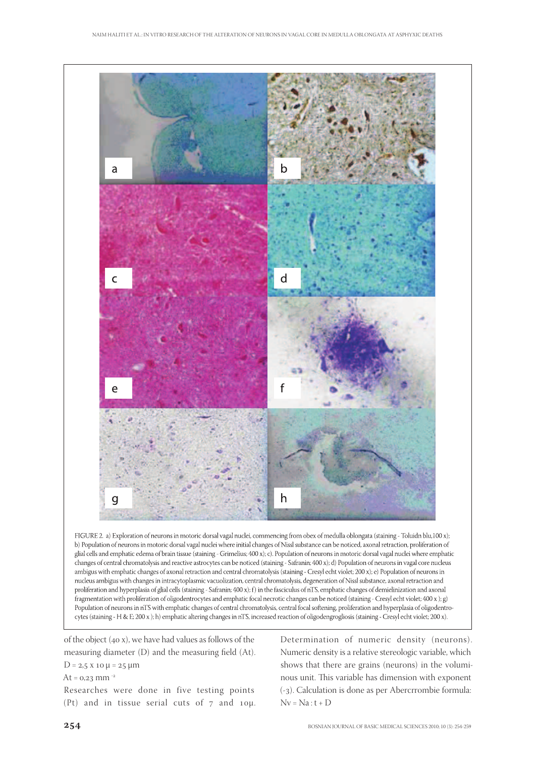

glial cells and emphatic edema of brain tissue (staining - Grimelius; 400 x); c). Population of neurons in motoric dorsal vagal nuclei where emphatic changes of central chromatolysis and reactive astrocytes can be noticed (staining - Safranin; 400 x); d) Population of neurons in vagal core nucleus ambigus with emphatic changes of axonal retraction and central chromatolysis (staining - Cresyl echt violet; 200 x); e) Population of neurons in nucleus ambigus with changes in intracytoplasmic vacuolization, central chromatolysis, degeneration of Nissl substance, axonal retraction and proliferation and hyperplasia of glial cells (staining - Safranin; 400 x); f) in the fasciculus of riTS, emphatic changes of demielinization and axonal fragmentation with proliferation of oligodentrocytes and emphatic focal necrotic changes can be noticed (staining - Cresyl echt violet; 400 x); g) Population of neurons in nTS with emphatic changes of central chromatolysis, central focal softening, proliferation and hyperplasia of oligodentrocytes (staining - H & E; 200 x); h) emphatic altering changes in nTS, increased reaction of oligodengrogliosis (staining - Cresyl echt violet; 200 x).

of the object  $(40 x)$ , we have had values as follows of the measuring diameter (D) and the measuring field (At).  $D = 2.5 \times 10 \mu = 25 \mu m$ 

At =  $0.23$  mm<sup>-2</sup>

Researches were done in five testing points (Pt) and in tissue serial cuts of  $7$  and  $10\mu$ . Determination of numeric density (neurons). Numeric density is a relative stereologic variable, which shows that there are grains (neurons) in the voluminous unit. This variable has dimension with exponent (-). Calculation is done as per Abercrrombie formula:  $Nv = Na : t + D$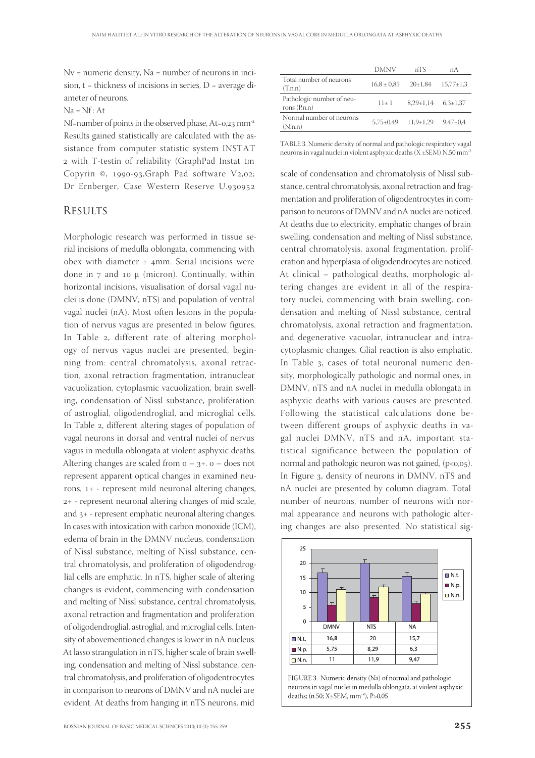Nv = numeric density, Na = number of neurons in incision,  $t =$  thickness of incisions in series,  $D =$  average diameter of neurons.

#### $Na = Nf$ : At

Nf=number of points in the observed phase,  $At=0.23$  mm<sup>-2</sup> Results gained statistically are calculated with the assistance from computer statistic system INSTAT with T-testin of reliability (GraphPad Instat tm Copyrin  $\odot$ , 1990-93, Graph Pad software V2,02; Dr Ernberger, Case Western Reserve U.

#### **RESULTS**

Morphologic research was performed in tissue serial incisions of medulla oblongata, commencing with obex with diameter  $\pm$  4mm. Serial incisions were done in  $7$  and 10  $\mu$  (micron). Continually, within horizontal incisions, visualisation of dorsal vagal nuclei is done (DMNV, nTS) and population of ventral vagal nuclei (nA). Most often lesions in the population of nervus vagus are presented in below figures. In Table 2, different rate of altering morphology of nervus vagus nuclei are presented, beginning from: central chromatolysis, axonal retraction, axonal retraction fragmentation, intranuclear vacuolization, cytoplasmic vacuolization, brain swelling, condensation of Nissl substance, proliferation of astroglial, oligodendroglial, and microglial cells. In Table 2, different altering stages of population of vagal neurons in dorsal and ventral nuclei of nervus vagus in medulla oblongata at violent asphyxic deaths. Altering changes are scaled from  $o - 3 + o -$  does not represent apparent optical changes in examined neurons, 1+ - represent mild neuronal altering changes, + - represent neuronal altering changes of mid scale, and  $3+$  - represent emphatic neuronal altering changes. In cases with intoxication with carbon monoxide (ICM), edema of brain in the DMNV nucleus, condensation of Nissl substance, melting of Nissl substance, central chromatolysis, and proliferation of oligodendroglial cells are emphatic. In nTS, higher scale of altering changes is evident, commencing with condensation and melting of Nissl substance, central chromatolysis, axonal retraction and fragmentation and proliferation of oligodendroglial, astroglial, and microglial cells. Intensity of abovementioned changes is lower in nA nucleus. At lasso strangulation in nTS, higher scale of brain swelling, condensation and melting of Nissl substance, central chromatolysis, and proliferation of oligodentrocytes in comparison to neurons of DMNV and nA nuclei are evident. At deaths from hanging in nTS neurons, mid

TABLE 3. Numeric density of normal and pathologic respiratory vagal neurons in vagal nuclei in violent asphyxic deaths (X ±SEM) N.50 mm-2

scale of condensation and chromatolysis of Nissl substance, central chromatolysis, axonal retraction and fragmentation and proliferation of oligodentrocytes in comparison to neurons of DMNV and nA nuclei are noticed. At deaths due to electricity, emphatic changes of brain swelling, condensation and melting of Nissl substance, central chromatolysis, axonal fragmentation, proliferation and hyperplasia of oligodendrocytes are noticed. At clinical – pathological deaths, morphologic altering changes are evident in all of the respiratory nuclei, commencing with brain swelling, condensation and melting of Nissl substance, central chromatolysis, axonal retraction and fragmentation, and degenerative vacuolar, intranuclear and intracytoplasmic changes. Glial reaction is also emphatic. In Table 3, cases of total neuronal numeric density, morphologically pathologic and normal ones, in DMNV, nTS and nA nuclei in medulla oblongata in asphyxic deaths with various causes are presented. Following the statistical calculations done between different groups of asphyxic deaths in vagal nuclei DMNV, nTS and nA, important statistical significance between the population of normal and pathologic neuron was not gained,  $(p<0.05)$ . In Figure 3, density of neurons in DMNV, nTS and nA nuclei are presented by column diagram. Total number of neurons, number of neurons with normal appearance and neurons with pathologic altering changes are also presented. No statistical sig-



FIGURE 3. Numeric density (Na) of normal and pathologic neurons in vagal nuclei in medulla oblongata, at violent asphyxic deaths; (n.50; X±SEM, mm<sup>-2</sup>), P>0,05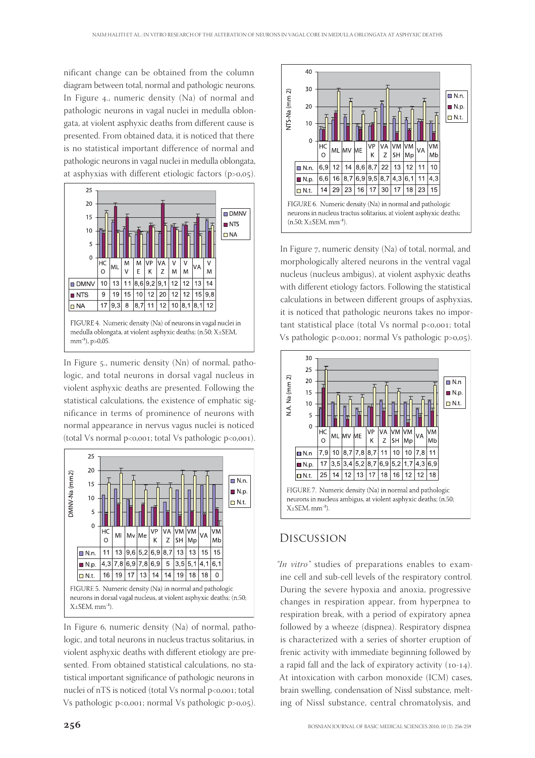nificant change can be obtained from the column diagram between total, normal and pathologic neurons. In Figure 4., numeric density  $(Na)$  of normal and pathologic neurons in vagal nuclei in medulla oblongata, at violent asphyxic deaths from different cause is presented. From obtained data, it is noticed that there is no statistical important difference of normal and pathologic neurons in vagal nuclei in medulla oblongata, at asphyxias with different etiologic factors  $(p>0,05)$ .



In Figure  $5$ ., numeric density (Nn) of normal, pathologic, and total neurons in dorsal vagal nucleus in violent asphyxic deaths are presented. Following the statistical calculations, the existence of emphatic significance in terms of prominence of neurons with normal appearance in nervus vagus nuclei is noticed (total Vs normal  $p < 0.001$ ; total Vs pathologic  $p < 0.001$ ).



 $X \pm SEM$ , mm<sup>-2</sup>).

In Figure 6, numeric density (Na) of normal, pathologic, and total neurons in nucleus tractus solitarius, in violent asphyxic deaths with different etiology are presented. From obtained statistical calculations, no statistical important significance of pathologic neurons in nuclei of nTS is noticed (total Vs normal p<0,001; total Vs pathologic p<0,001; normal Vs pathologic p>0,05).



In Figure 7, numeric density (Na) of total, normal, and morphologically altered neurons in the ventral vagal nucleus (nucleus ambigus), at violent asphyxic deaths with different etiology factors. Following the statistical calculations in between different groups of asphyxias, it is noticed that pathologic neurons takes no important statistical place (total Vs normal  $p<0,001$ ; total Vs pathologic p<0,001; normal Vs pathologic p>0,05).



## Discussion

"In vitro" studies of preparations enables to examine cell and sub-cell levels of the respiratory control. During the severe hypoxia and anoxia, progressive changes in respiration appear, from hyperpnea to respiration break, with a period of expiratory apnea followed by a wheeze (dispnea). Respiratory dispnea is characterized with a series of shorter eruption of frenic activity with immediate beginning followed by a rapid fall and the lack of expiratory activity  $(10-14)$ . At intoxication with carbon monoxide (ICM) cases, brain swelling, condensation of Nissl substance, melting of Nissl substance, central chromatolysis, and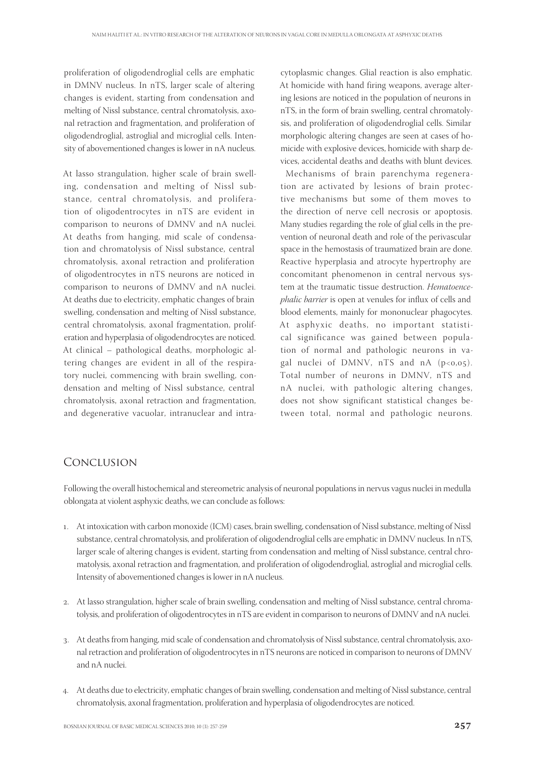proliferation of oligodendroglial cells are emphatic in DMNV nucleus. In nTS, larger scale of altering changes is evident, starting from condensation and melting of Nissl substance, central chromatolysis, axonal retraction and fragmentation, and proliferation of oligodendroglial, astroglial and microglial cells. Intensity of abovementioned changes is lower in nA nucleus.

At lasso strangulation, higher scale of brain swelling, condensation and melting of Nissl substance, central chromatolysis, and proliferation of oligodentrocytes in nTS are evident in comparison to neurons of DMNV and nA nuclei. At deaths from hanging, mid scale of condensation and chromatolysis of Nissl substance, central chromatolysis, axonal retraction and proliferation of oligodentrocytes in nTS neurons are noticed in comparison to neurons of DMNV and nA nuclei. At deaths due to electricity, emphatic changes of brain swelling, condensation and melting of Nissl substance, central chromatolysis, axonal fragmentation, proliferation and hyperplasia of oligodendrocytes are noticed. At clinical – pathological deaths, morphologic altering changes are evident in all of the respiratory nuclei, commencing with brain swelling, condensation and melting of Nissl substance, central chromatolysis, axonal retraction and fragmentation, and degenerative vacuolar, intranuclear and intracytoplasmic changes. Glial reaction is also emphatic. At homicide with hand firing weapons, average altering lesions are noticed in the population of neurons in nTS, in the form of brain swelling, central chromatolysis, and proliferation of oligodendroglial cells. Similar morphologic altering changes are seen at cases of homicide with explosive devices, homicide with sharp devices, accidental deaths and deaths with blunt devices.

 Mechanisms of brain parenchyma regeneration are activated by lesions of brain protective mechanisms but some of them moves to the direction of nerve cell necrosis or apoptosis. Many studies regarding the role of glial cells in the prevention of neuronal death and role of the perivascular space in the hemostasis of traumatized brain are done. Reactive hyperplasia and atrocyte hypertrophy are concomitant phenomenon in central nervous system at the traumatic tissue destruction. Hematoencephalic barrier is open at venules for influx of cells and blood elements, mainly for mononuclear phagocytes. At asphyxic deaths, no important statistical significance was gained between population of normal and pathologic neurons in vagal nuclei of DMNV,  $nTS$  and  $nA$  ( $p<0.05$ ). Total number of neurons in DMNV, nTS and nA nuclei, with pathologic altering changes, does not show significant statistical changes between total, normal and pathologic neurons.

## Conclusion

Following the overall histochemical and stereometric analysis of neuronal populations in nervus vagus nuclei in medulla oblongata at violent asphyxic deaths, we can conclude as follows:

- . At intoxication with carbon monoxide (ICM) cases, brain swelling, condensation of Nissl substance, melting of Nissl substance, central chromatolysis, and proliferation of oligodendroglial cells are emphatic in DMNV nucleus. In nTS, larger scale of altering changes is evident, starting from condensation and melting of Nissl substance, central chromatolysis, axonal retraction and fragmentation, and proliferation of oligodendroglial, astroglial and microglial cells. Intensity of abovementioned changes is lower in nA nucleus.
- . At lasso strangulation, higher scale of brain swelling, condensation and melting of Nissl substance, central chromatolysis, and proliferation of oligodentrocytes in nTS are evident in comparison to neurons of DMNV and nA nuclei.
- . At deaths from hanging, mid scale of condensation and chromatolysis of Nissl substance, central chromatolysis, axonal retraction and proliferation of oligodentrocytes in nTS neurons are noticed in comparison to neurons of DMNV and nA nuclei.
- . At deaths due to electricity, emphatic changes of brain swelling, condensation and melting of Nissl substance, central chromatolysis, axonal fragmentation, proliferation and hyperplasia of oligodendrocytes are noticed.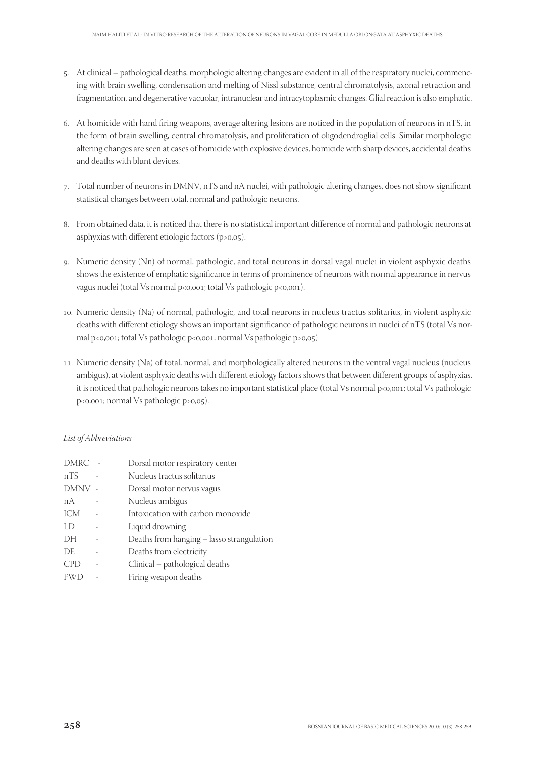- . At clinical pathological deaths, morphologic altering changes are evident in all of the respiratory nuclei, commencing with brain swelling, condensation and melting of Nissl substance, central chromatolysis, axonal retraction and fragmentation, and degenerative vacuolar, intranuclear and intracytoplasmic changes. Glial reaction is also emphatic.
- 6. At homicide with hand firing weapons, average altering lesions are noticed in the population of neurons in nTS, in the form of brain swelling, central chromatolysis, and proliferation of oligodendroglial cells. Similar morphologic altering changes are seen at cases of homicide with explosive devices, homicide with sharp devices, accidental deaths and deaths with blunt devices.
- 7. Total number of neurons in DMNV, nTS and nA nuclei, with pathologic altering changes, does not show significant statistical changes between total, normal and pathologic neurons.
- 8. From obtained data, it is noticed that there is no statistical important difference of normal and pathologic neurons at asphyxias with different etiologic factors  $(p>0,05)$ .
- . Numeric density (Nn) of normal, pathologic, and total neurons in dorsal vagal nuclei in violent asphyxic deaths shows the existence of emphatic significance in terms of prominence of neurons with normal appearance in nervus vagus nuclei (total Vs normal p<0,001; total Vs pathologic p<0,001).
- . Numeric density (Na) of normal, pathologic, and total neurons in nucleus tractus solitarius, in violent asphyxic deaths with different etiology shows an important significance of pathologic neurons in nuclei of nTS (total Vs normal  $p < 0$ ,001; total Vs pathologic  $p < 0$ ,001; normal Vs pathologic  $p > 0$ ,05).
- . Numeric density (Na) of total, normal, and morphologically altered neurons in the ventral vagal nucleus (nucleus ambigus), at violent asphyxic deaths with different etiology factors shows that between different groups of asphyxias, it is noticed that pathologic neurons takes no important statistical place (total Vs normal p<0,001; total Vs pathologic p<0,001; normal Vs pathologic p>0,05).

#### List of Abbreviations

| DMRC       | Dorsal motor respiratory center           |
|------------|-------------------------------------------|
| nTS        | Nucleus tractus solitarius                |
| DMNV -     | Dorsal motor nervus vagus                 |
| nА         | Nucleus ambigus                           |
| ICM        | Intoxication with carbon monoxide         |
| LD         | Liquid drowning                           |
| DH         | Deaths from hanging - lasso strangulation |
| DE.        | Deaths from electricity                   |
| <b>CPD</b> | Clinical - pathological deaths            |
| <b>FWD</b> | Firing weapon deaths                      |